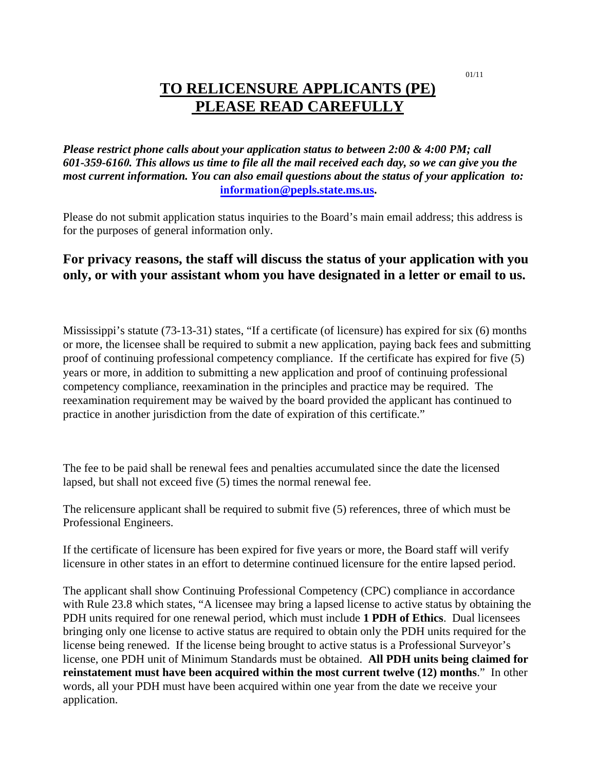#### 01/11

# **TO RELICENSURE APPLICANTS (PE) PLEASE READ CAREFULLY**

*Please restrict phone calls about your application status to between 2:00 & 4:00 PM; call 601-359-6160. This allows us time to file all the mail received each day, so we can give you the most current information. You can also email questions about the status of your application to:* **information@pepls.state.ms.us.** 

Please do not submit application status inquiries to the Board's main email address; this address is for the purposes of general information only.

### **For privacy reasons, the staff will discuss the status of your application with you only, or with your assistant whom you have designated in a letter or email to us.**

Mississippi's statute (73-13-31) states, "If a certificate (of licensure) has expired for six (6) months or more, the licensee shall be required to submit a new application, paying back fees and submitting proof of continuing professional competency compliance. If the certificate has expired for five (5) years or more, in addition to submitting a new application and proof of continuing professional competency compliance, reexamination in the principles and practice may be required. The reexamination requirement may be waived by the board provided the applicant has continued to practice in another jurisdiction from the date of expiration of this certificate."

The fee to be paid shall be renewal fees and penalties accumulated since the date the licensed lapsed, but shall not exceed five (5) times the normal renewal fee.

The relicensure applicant shall be required to submit five (5) references, three of which must be Professional Engineers.

If the certificate of licensure has been expired for five years or more, the Board staff will verify licensure in other states in an effort to determine continued licensure for the entire lapsed period.

The applicant shall show Continuing Professional Competency (CPC) compliance in accordance with Rule 23.8 which states, "A licensee may bring a lapsed license to active status by obtaining the PDH units required for one renewal period, which must include **1 PDH of Ethics**. Dual licensees bringing only one license to active status are required to obtain only the PDH units required for the license being renewed. If the license being brought to active status is a Professional Surveyor's license, one PDH unit of Minimum Standards must be obtained. **All PDH units being claimed for reinstatement must have been acquired within the most current twelve (12) months**." In other words, all your PDH must have been acquired within one year from the date we receive your application.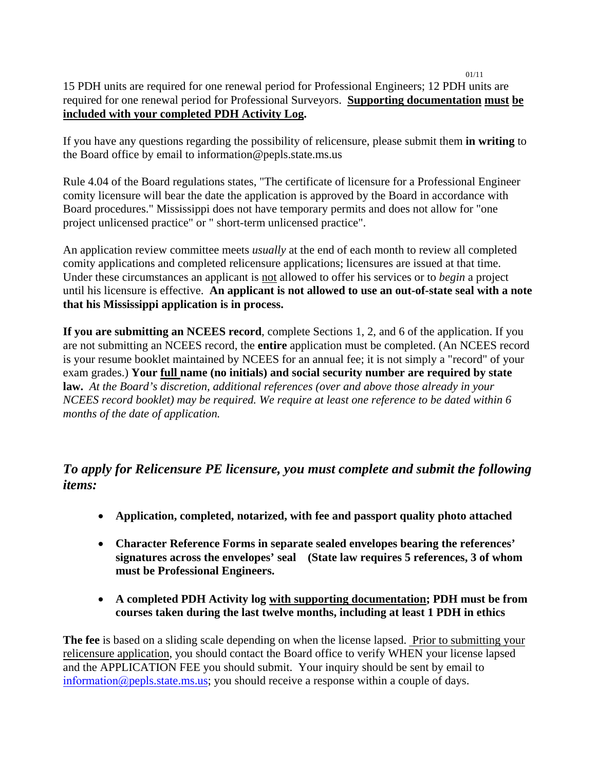15 PDH units are required for one renewal period for Professional Engineers; 12 PDH units are required for one renewal period for Professional Surveyors. **Supporting documentation must be included with your completed PDH Activity Log.** 

01/11

If you have any questions regarding the possibility of relicensure, please submit them **in writing** to the Board office by email to information@pepls.state.ms.us

Rule 4.04 of the Board regulations states, "The certificate of licensure for a Professional Engineer comity licensure will bear the date the application is approved by the Board in accordance with Board procedures." Mississippi does not have temporary permits and does not allow for "one project unlicensed practice" or " short-term unlicensed practice".

An application review committee meets *usually* at the end of each month to review all completed comity applications and completed relicensure applications; licensures are issued at that time. Under these circumstances an applicant is not allowed to offer his services or to *begin* a project until his licensure is effective. **An applicant is not allowed to use an out-of-state seal with a note that his Mississippi application is in process.**

**If you are submitting an NCEES record**, complete Sections 1, 2, and 6 of the application. If you are not submitting an NCEES record, the **entire** application must be completed. (An NCEES record is your resume booklet maintained by NCEES for an annual fee; it is not simply a "record" of your exam grades.) **Your full name (no initials) and social security number are required by state law.** *At the Board's discretion, additional references (over and above those already in your NCEES record booklet) may be required. We require at least one reference to be dated within 6 months of the date of application.* 

## *To apply for Relicensure PE licensure, you must complete and submit the following items:*

- **Application, completed, notarized, with fee and passport quality photo attached**
- **Character Reference Forms in separate sealed envelopes bearing the references' signatures across the envelopes' seal (State law requires 5 references, 3 of whom must be Professional Engineers.**
- **A completed PDH Activity log with supporting documentation; PDH must be from courses taken during the last twelve months, including at least 1 PDH in ethics**

**The fee** is based on a sliding scale depending on when the license lapsed. Prior to submitting your relicensure application, you should contact the Board office to verify WHEN your license lapsed and the APPLICATION FEE you should submit. Your inquiry should be sent by email to information  $\omega$  pepls. state ms.us; you should receive a response within a couple of days.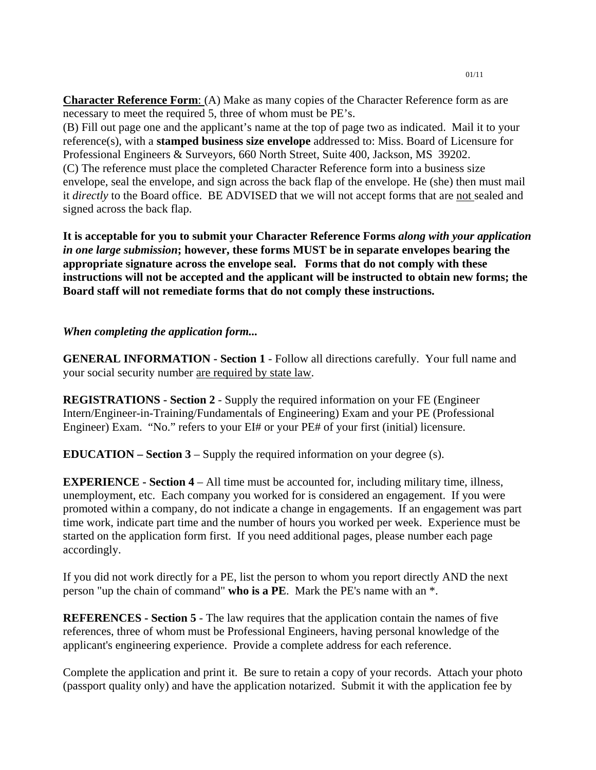**Character Reference Form**: (A) Make as many copies of the Character Reference form as are necessary to meet the required 5, three of whom must be PE's.

(B) Fill out page one and the applicant's name at the top of page two as indicated. Mail it to your reference(s), with a **stamped business size envelope** addressed to: Miss. Board of Licensure for Professional Engineers & Surveyors, 660 North Street, Suite 400, Jackson, MS 39202. (C) The reference must place the completed Character Reference form into a business size envelope, seal the envelope, and sign across the back flap of the envelope. He (she) then must mail it *directly* to the Board office. BE ADVISED that we will not accept forms that are not sealed and signed across the back flap.

**It is acceptable for you to submit your Character Reference Forms** *along with your application in one large submission***; however, these forms MUST be in separate envelopes bearing the appropriate signature across the envelope seal. Forms that do not comply with these instructions will not be accepted and the applicant will be instructed to obtain new forms; the Board staff will not remediate forms that do not comply these instructions.** 

#### *When completing the application form...*

**GENERAL INFORMATION - Section 1** - Follow all directions carefully. Your full name and your social security number are required by state law.

**REGISTRATIONS - Section 2** - Supply the required information on your FE (Engineer Intern/Engineer-in-Training/Fundamentals of Engineering) Exam and your PE (Professional Engineer) Exam. "No." refers to your EI# or your PE# of your first (initial) licensure.

**EDUCATION – Section 3** – Supply the required information on your degree (s).

**EXPERIENCE - Section 4** – All time must be accounted for, including military time, illness, unemployment, etc. Each company you worked for is considered an engagement. If you were promoted within a company, do not indicate a change in engagements. If an engagement was part time work, indicate part time and the number of hours you worked per week. Experience must be started on the application form first. If you need additional pages, please number each page accordingly.

If you did not work directly for a PE, list the person to whom you report directly AND the next person "up the chain of command" **who is a PE**. Mark the PE's name with an \*.

**REFERENCES - Section 5** - The law requires that the application contain the names of five references, three of whom must be Professional Engineers, having personal knowledge of the applicant's engineering experience. Provide a complete address for each reference.

Complete the application and print it. Be sure to retain a copy of your records. Attach your photo (passport quality only) and have the application notarized. Submit it with the application fee by